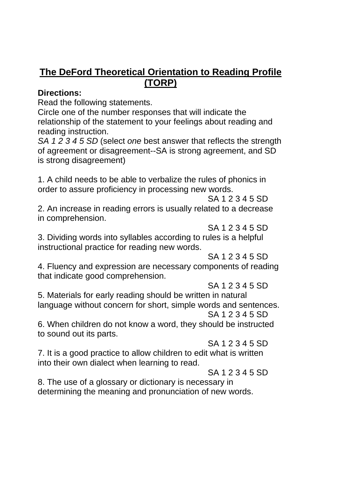## **The DeFord Theoretical Orientation to Reading Profile (TORP)**

## **Directions:**

Read the following statements.

Circle one of the number responses that will indicate the relationship of the statement to your feelings about reading and reading instruction.

*SA 1 2 3 4 5 SD* (select *one* best answer that reflects the strength of agreement or disagreement--SA is strong agreement, and SD is strong disagreement)

1. A child needs to be able to verbalize the rules of phonics in order to assure proficiency in processing new words.

SA 1 2 3 4 5 SD

2. An increase in reading errors is usually related to a decrease in comprehension.

SA 1 2 3 4 5 SD

3. Dividing words into syllables according to rules is a helpful instructional practice for reading new words.

SA 1 2 3 4 5 SD

4. Fluency and expression are necessary components of reading that indicate good comprehension.

SA 1 2 3 4 5 SD

5. Materials for early reading should be written in natural language without concern for short, simple words and sentences. SA 1 2 3 4 5 SD

6. When children do not know a word, they should be instructed to sound out its parts.

SA 1 2 3 4 5 SD

7. It is a good practice to allow children to edit what is written into their own dialect when learning to read.

SA 1 2 3 4 5 SD

8. The use of a glossary or dictionary is necessary in determining the meaning and pronunciation of new words.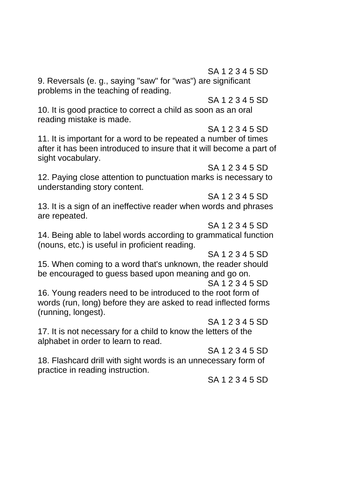SA 1 2 3 4 5 SD

9. Reversals (e. g., saying "saw" for "was") are significant problems in the teaching of reading.

SA 1 2 3 4 5 SD

10. It is good practice to correct a child as soon as an oral reading mistake is made.

SA 1 2 3 4 5 SD

11. It is important for a word to be repeated a number of times after it has been introduced to insure that it will become a part of sight vocabulary.

## SA 1 2 3 4 5 SD

12. Paying close attention to punctuation marks is necessary to understanding story content.

SA 1 2 3 4 5 SD

13. It is a sign of an ineffective reader when words and phrases are repeated.

SA 1 2 3 4 5 SD

14. Being able to label words according to grammatical function (nouns, etc.) is useful in proficient reading.

SA 1 2 3 4 5 SD

15. When coming to a word that's unknown, the reader should be encouraged to guess based upon meaning and go on.

SA 1 2 3 4 5 SD

16. Young readers need to be introduced to the root form of words (run, long) before they are asked to read inflected forms (running, longest).

SA 1 2 3 4 5 SD

17. It is not necessary for a child to know the letters of the alphabet in order to learn to read.

SA 1 2 3 4 5 SD

18. Flashcard drill with sight words is an unnecessary form of practice in reading instruction.

SA 1 2 3 4 5 SD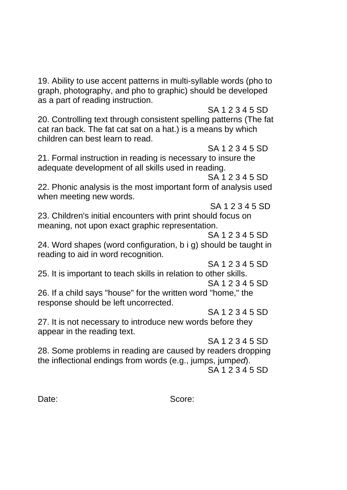19. Ability to use accent patterns in multi-syllable words (pho to graph, photography, and pho to graphic) should be developed as a part of reading instruction.

SA 1 2 3 4 5 SD

20. Controlling text through consistent spelling patterns (The fat cat ran back. The fat cat sat on a hat.) is a means by which children can best learn to read.

SA 1 2 3 4 5 SD 21. Formal instruction in reading is necessary to insure the adequate development of all skills used in reading.

SA 1 2 3 4 5 SD

22. Phonic analysis is the most important form of analysis used when meeting new words.

SA 1 2 3 4 5 SD

23. Children's initial encounters with print should focus on meaning, not upon exact graphic representation.

SA 1 2 3 4 5 SD

24. Word shapes (word configuration, b i g) should be taught in reading to aid in word recognition.

SA 1 2 3 4 5 SD

25. It is important to teach skills in relation to other skills. SA 1 2 3 4 5 SD

26. If a child says "house" for the written word "home," the response should be left uncorrected.

SA 1 2 3 4 5 SD

27. It is not necessary to introduce new words before they appear in the reading text.

SA 1 2 3 4 5 SD

28. Some problems in reading are caused by readers dropping the inflectional endings from words (e.g., jumps, jump*ed*).

SA 1 2 3 4 5 SD

Date: Score: